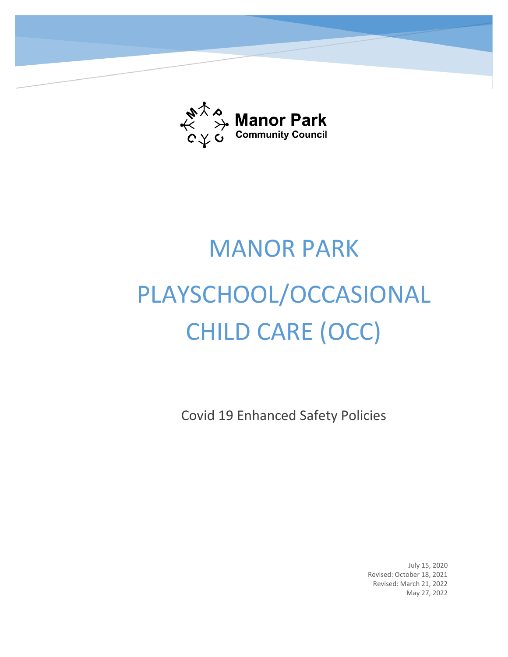

# MANOR PARK PLAYSCHOOL/OCCASIONAL CHILD CARE (OCC)

Covid 19 Enhanced Safety Policies

July 15, 2020 Revised: October 18, 2021 Revised: March 21, 2022 May 27, 2022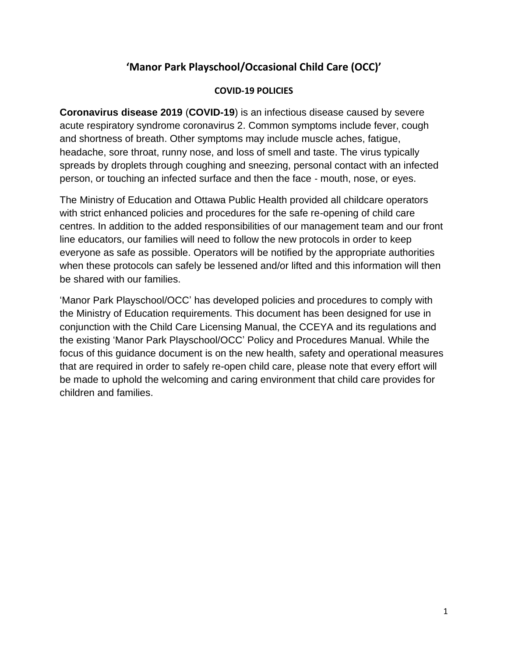# **'Manor Park Playschool/Occasional Child Care (OCC)'**

#### **COVID-19 POLICIES**

**Coronavirus disease 2019** (**COVID-19**) is an [infectious disease](https://en.wikipedia.org/wiki/Infectious_disease) caused by [severe](https://en.wikipedia.org/wiki/Severe_acute_respiratory_syndrome_coronavirus_2)  [acute respiratory syndrome coronavirus 2.](https://en.wikipedia.org/wiki/Severe_acute_respiratory_syndrome_coronavirus_2) Common symptoms include [fever,](https://en.wikipedia.org/wiki/Fever) [cough](https://en.wikipedia.org/wiki/Cough) and [shortness of breath.](https://en.wikipedia.org/wiki/Shortness_of_breath) Other symptoms may include muscle aches, [fatigue,](https://en.wikipedia.org/wiki/Fatigue) headache, sore throat, runny nose, and [loss of smell](https://en.wikipedia.org/wiki/Anosmia) and [taste.](https://en.wikipedia.org/wiki/Ageusia) The virus typically spreads by droplets through coughing and sneezing, personal contact with an infected person, or touching an infected surface and then the face ‐ mouth, nose, or eyes.

The Ministry of Education and Ottawa Public Health provided all childcare operators with strict enhanced policies and procedures for the safe re-opening of child care centres. In addition to the added responsibilities of our management team and our front line educators, our families will need to follow the new protocols in order to keep everyone as safe as possible. Operators will be notified by the appropriate authorities when these protocols can safely be lessened and/or lifted and this information will then be shared with our families.

'Manor Park Playschool/OCC' has developed policies and procedures to comply with the Ministry of Education requirements. This document has been designed for use in conjunction with the Child Care Licensing Manual, the CCEYA and its regulations and the existing 'Manor Park Playschool/OCC' Policy and Procedures Manual. While the focus of this guidance document is on the new health, safety and operational measures that are required in order to safely re-open child care, please note that every effort will be made to uphold the welcoming and caring environment that child care provides for children and families.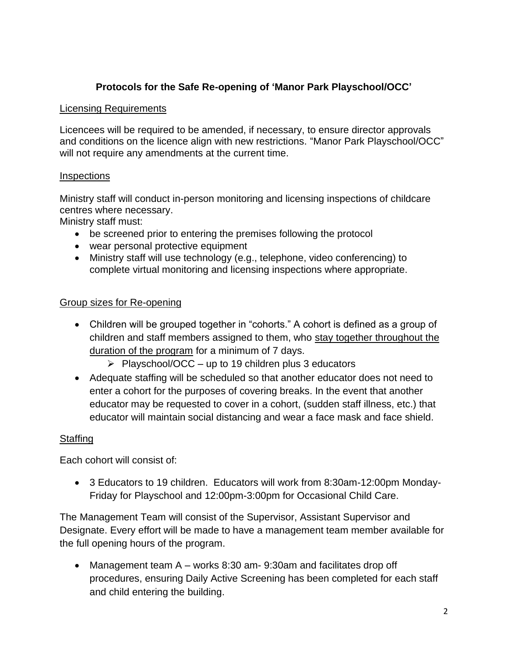# **Protocols for the Safe Re-opening of 'Manor Park Playschool/OCC'**

#### Licensing Requirements

Licencees will be required to be amended, if necessary, to ensure director approvals and conditions on the licence align with new restrictions. "Manor Park Playschool/OCC" will not require any amendments at the current time.

#### **Inspections**

Ministry staff will conduct in-person monitoring and licensing inspections of childcare centres where necessary.

Ministry staff must:

- be screened prior to entering the premises following the protocol
- wear personal protective equipment
- Ministry staff will use technology (e.g., telephone, video conferencing) to complete virtual monitoring and licensing inspections where appropriate.

#### Group sizes for Re-opening

- Children will be grouped together in "cohorts." A cohort is defined as a group of children and staff members assigned to them, who stay together throughout the duration of the program for a minimum of 7 days.
	- $\triangleright$  Playschool/OCC up to 19 children plus 3 educators
- Adequate staffing will be scheduled so that another educator does not need to enter a cohort for the purposes of covering breaks. In the event that another educator may be requested to cover in a cohort, (sudden staff illness, etc.) that educator will maintain social distancing and wear a face mask and face shield.

#### Staffing

Each cohort will consist of:

• 3 Educators to 19 children. Educators will work from 8:30am-12:00pm Monday-Friday for Playschool and 12:00pm-3:00pm for Occasional Child Care.

The Management Team will consist of the Supervisor, Assistant Supervisor and Designate. Every effort will be made to have a management team member available for the full opening hours of the program.

• Management team A – works 8:30 am- 9:30am and facilitates drop off procedures, ensuring Daily Active Screening has been completed for each staff and child entering the building.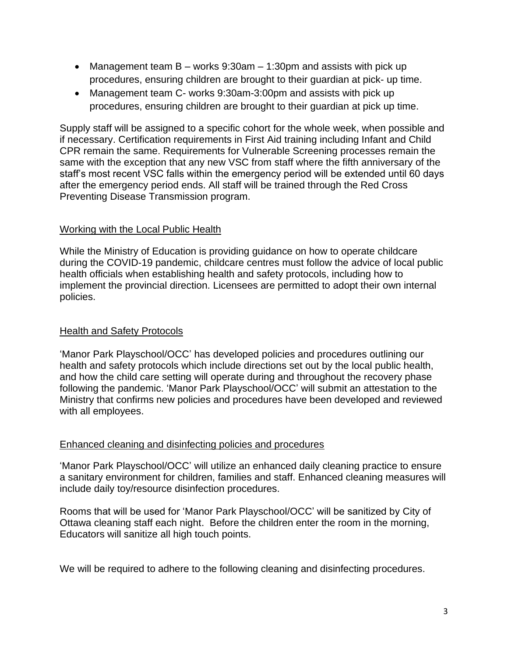- Management team  $B -$  works 9:30am  $-1:30$ pm and assists with pick up procedures, ensuring children are brought to their guardian at pick- up time.
- Management team C- works 9:30am-3:00pm and assists with pick up procedures, ensuring children are brought to their guardian at pick up time.

Supply staff will be assigned to a specific cohort for the whole week, when possible and if necessary. Certification requirements in First Aid training including Infant and Child CPR remain the same. Requirements for Vulnerable Screening processes remain the same with the exception that any new VSC from staff where the fifth anniversary of the staff's most recent VSC falls within the emergency period will be extended until 60 days after the emergency period ends. All staff will be trained through the Red Cross Preventing Disease Transmission program.

#### Working with the Local Public Health

While the Ministry of Education is providing guidance on how to operate childcare during the COVID-19 pandemic, childcare centres must follow the advice of local public health officials when establishing health and safety protocols, including how to implement the provincial direction. Licensees are permitted to adopt their own internal policies.

#### **Health and Safety Protocols**

'Manor Park Playschool/OCC' has developed policies and procedures outlining our health and safety protocols which include directions set out by the local public health, and how the child care setting will operate during and throughout the recovery phase following the pandemic. 'Manor Park Playschool/OCC' will submit an attestation to the Ministry that confirms new policies and procedures have been developed and reviewed with all employees.

#### Enhanced cleaning and disinfecting policies and procedures

'Manor Park Playschool/OCC' will utilize an enhanced daily cleaning practice to ensure a sanitary environment for children, families and staff. Enhanced cleaning measures will include daily toy/resource disinfection procedures.

Rooms that will be used for 'Manor Park Playschool/OCC' will be sanitized by City of Ottawa cleaning staff each night. Before the children enter the room in the morning, Educators will sanitize all high touch points.

We will be required to adhere to the following cleaning and disinfecting procedures.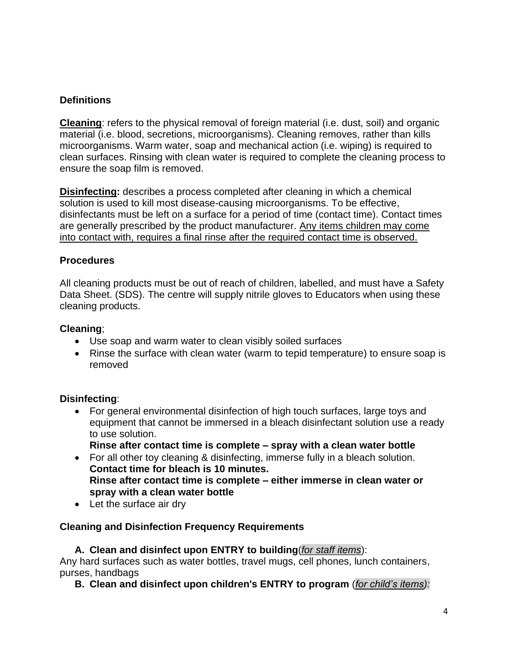## **Definitions**

**Cleaning**: refers to the physical removal of foreign material (i.e. dust, soil) and organic material (i.e. blood, secretions, microorganisms). Cleaning removes, rather than kills microorganisms. Warm water, soap and mechanical action (i.e. wiping) is required to clean surfaces. Rinsing with clean water is required to complete the cleaning process to ensure the soap film is removed.

**Disinfecting:** describes a process completed after cleaning in which a chemical solution is used to kill most disease-causing microorganisms. To be effective, disinfectants must be left on a surface for a period of time (contact time). Contact times are generally prescribed by the product manufacturer. Any items children may come into contact with, requires a final rinse after the required contact time is observed.

## **Procedures**

All cleaning products must be out of reach of children, labelled, and must have a Safety Data Sheet. (SDS). The centre will supply nitrile gloves to Educators when using these cleaning products.

#### **Cleaning**;

- Use soap and warm water to clean visibly soiled surfaces
- Rinse the surface with clean water (warm to tepid temperature) to ensure soap is removed

## **Disinfecting**:

- For general environmental disinfection of high touch surfaces, large toys and equipment that cannot be immersed in a bleach disinfectant solution use a ready to use solution.
	- **Rinse after contact time is complete – spray with a clean water bottle**
- For all other toy cleaning & disinfecting, immerse fully in a bleach solution. **Contact time for bleach is 10 minutes. Rinse after contact time is complete – either immerse in clean water or spray with a clean water bottle**
- Let the surface air dry

## **Cleaning and Disinfection Frequency Requirements**

**A. Clean and disinfect upon ENTRY to building**(*for staff items*):

Any hard surfaces such as water bottles, travel mugs, cell phones, lunch containers, purses, handbags

**B. Clean and disinfect upon children's ENTRY to program** (*for child's items):*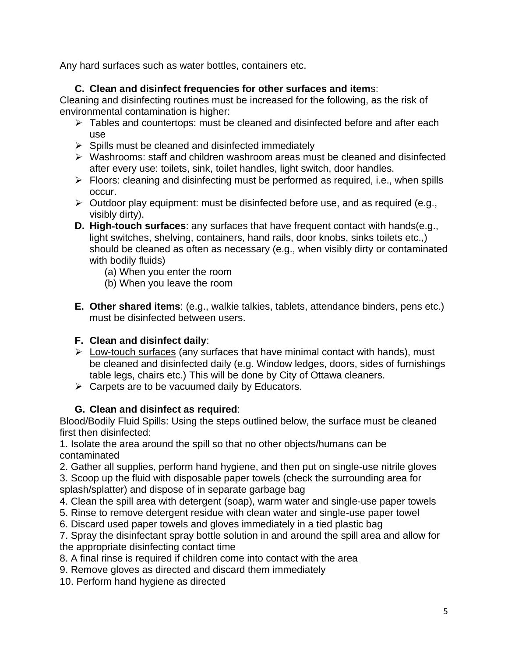Any hard surfaces such as water bottles, containers etc.

# **C. Clean and disinfect frequencies for other surfaces and item**s:

Cleaning and disinfecting routines must be increased for the following, as the risk of environmental contamination is higher:

- ➢ Tables and countertops: must be cleaned and disinfected before and after each use
- $\triangleright$  Spills must be cleaned and disinfected immediately
- ➢ Washrooms: staff and children washroom areas must be cleaned and disinfected after every use: toilets, sink, toilet handles, light switch, door handles.
- ➢ Floors: cleaning and disinfecting must be performed as required, i.e., when spills occur.
- $\triangleright$  Outdoor play equipment: must be disinfected before use, and as required (e.g., visibly dirty).
- **D. High**‐**touch surfaces**: any surfaces that have frequent contact with hands(e.g., light switches, shelving, containers, hand rails, door knobs, sinks toilets etc.,) should be cleaned as often as necessary (e.g., when visibly dirty or contaminated with bodily fluids)
	- (a) When you enter the room
	- (b) When you leave the room
- **E. Other shared items**: (e.g., walkie talkies, tablets, attendance binders, pens etc.) must be disinfected between users.

# **F. Clean and disinfect daily**:

- $\triangleright$  Low-touch surfaces (any surfaces that have minimal contact with hands), must be cleaned and disinfected daily (e.g. Window ledges, doors, sides of furnishings table legs, chairs etc.) This will be done by City of Ottawa cleaners.
- $\triangleright$  Carpets are to be vacuumed daily by Educators.

# **G. Clean and disinfect as required**:

Blood/Bodily Fluid Spills: Using the steps outlined below, the surface must be cleaned first then disinfected:

1. Isolate the area around the spill so that no other objects/humans can be contaminated

2. Gather all supplies, perform hand hygiene, and then put on single-use nitrile gloves

3. Scoop up the fluid with disposable paper towels (check the surrounding area for splash/splatter) and dispose of in separate garbage bag

- 4. Clean the spill area with detergent (soap), warm water and single-use paper towels
- 5. Rinse to remove detergent residue with clean water and single-use paper towel
- 6. Discard used paper towels and gloves immediately in a tied plastic bag

7. Spray the disinfectant spray bottle solution in and around the spill area and allow for the appropriate disinfecting contact time

- 8. A final rinse is required if children come into contact with the area
- 9. Remove gloves as directed and discard them immediately
- 10. Perform hand hygiene as directed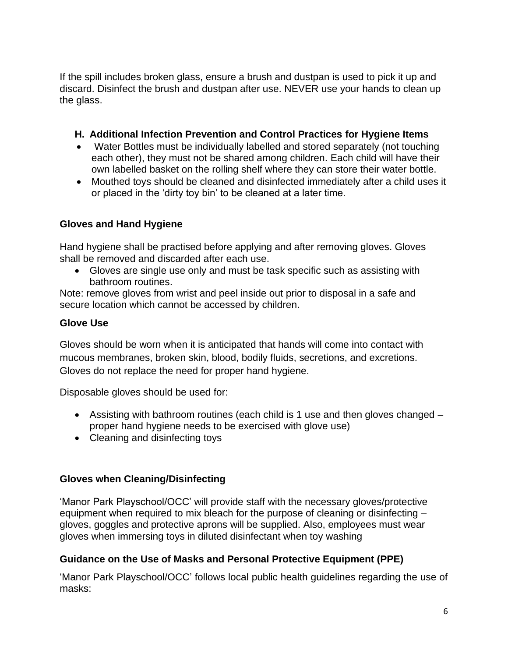If the spill includes broken glass, ensure a brush and dustpan is used to pick it up and discard. Disinfect the brush and dustpan after use. NEVER use your hands to clean up the glass.

## **H. Additional Infection Prevention and Control Practices for Hygiene Items**

- Water Bottles must be individually labelled and stored separately (not touching each other), they must not be shared among children. Each child will have their own labelled basket on the rolling shelf where they can store their water bottle.
- Mouthed toys should be cleaned and disinfected immediately after a child uses it or placed in the 'dirty toy bin' to be cleaned at a later time.

# **Gloves and Hand Hygiene**

Hand hygiene shall be practised before applying and after removing gloves. Gloves shall be removed and discarded after each use.

• Gloves are single use only and must be task specific such as assisting with bathroom routines.

Note: remove gloves from wrist and peel inside out prior to disposal in a safe and secure location which cannot be accessed by children.

## **Glove Use**

Gloves should be worn when it is anticipated that hands will come into contact with mucous membranes, broken skin, blood, bodily fluids, secretions, and excretions. Gloves do not replace the need for proper hand hygiene.

Disposable gloves should be used for:

- Assisting with bathroom routines (each child is 1 use and then gloves changed proper hand hygiene needs to be exercised with glove use)
- Cleaning and disinfecting toys

# **Gloves when Cleaning/Disinfecting**

'Manor Park Playschool/OCC' will provide staff with the necessary gloves/protective equipment when required to mix bleach for the purpose of cleaning or disinfecting – gloves, goggles and protective aprons will be supplied. Also, employees must wear gloves when immersing toys in diluted disinfectant when toy washing

# **Guidance on the Use of Masks and Personal Protective Equipment (PPE)**

'Manor Park Playschool/OCC' follows local public health guidelines regarding the use of masks: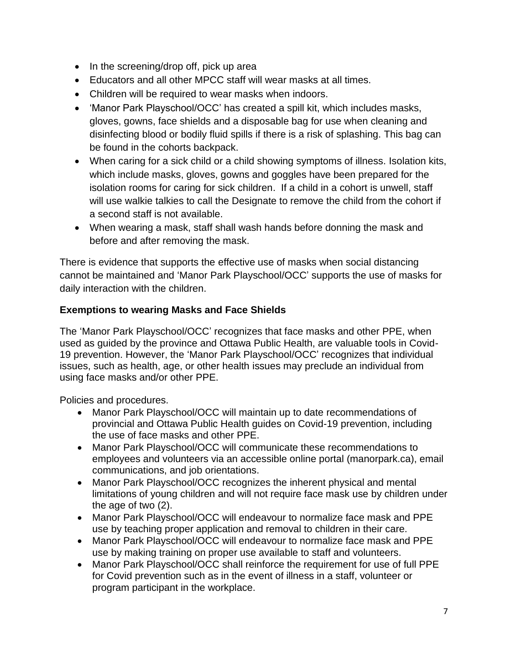- In the screening/drop off, pick up area
- Educators and all other MPCC staff will wear masks at all times.
- Children will be required to wear masks when indoors.
- 'Manor Park Playschool/OCC' has created a spill kit, which includes masks, gloves, gowns, face shields and a disposable bag for use when cleaning and disinfecting blood or bodily fluid spills if there is a risk of splashing. This bag can be found in the cohorts backpack.
- When caring for a sick child or a child showing symptoms of illness. Isolation kits, which include masks, gloves, gowns and goggles have been prepared for the isolation rooms for caring for sick children. If a child in a cohort is unwell, staff will use walkie talkies to call the Designate to remove the child from the cohort if a second staff is not available.
- When wearing a mask, staff shall wash hands before donning the mask and before and after removing the mask.

There is evidence that supports the effective use of masks when social distancing cannot be maintained and 'Manor Park Playschool/OCC' supports the use of masks for daily interaction with the children.

## **Exemptions to wearing Masks and Face Shields**

The 'Manor Park Playschool/OCC' recognizes that face masks and other PPE, when used as guided by the province and Ottawa Public Health, are valuable tools in Covid-19 prevention. However, the 'Manor Park Playschool/OCC' recognizes that individual issues, such as health, age, or other health issues may preclude an individual from using face masks and/or other PPE.

Policies and procedures.

- Manor Park Playschool/OCC will maintain up to date recommendations of provincial and Ottawa Public Health guides on Covid-19 prevention, including the use of face masks and other PPE.
- Manor Park Playschool/OCC will communicate these recommendations to employees and volunteers via an accessible online portal (manorpark.ca), email communications, and job orientations.
- Manor Park Playschool/OCC recognizes the inherent physical and mental limitations of young children and will not require face mask use by children under the age of two (2).
- Manor Park Playschool/OCC will endeavour to normalize face mask and PPE use by teaching proper application and removal to children in their care.
- Manor Park Playschool/OCC will endeavour to normalize face mask and PPE use by making training on proper use available to staff and volunteers.
- Manor Park Playschool/OCC shall reinforce the requirement for use of full PPE for Covid prevention such as in the event of illness in a staff, volunteer or program participant in the workplace.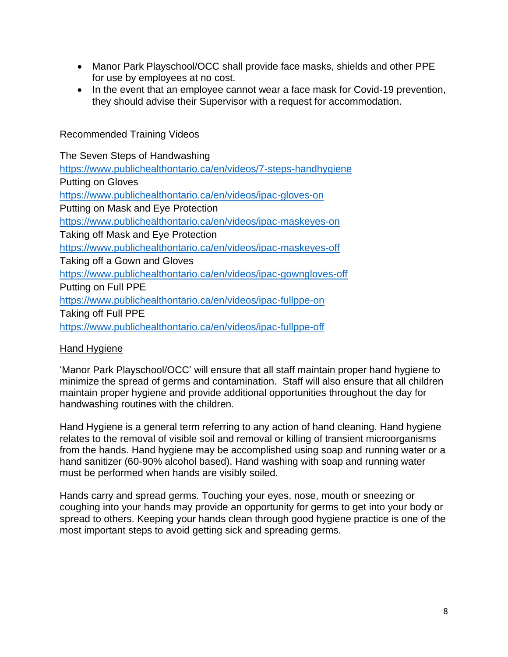- Manor Park Playschool/OCC shall provide face masks, shields and other PPE for use by employees at no cost.
- In the event that an employee cannot wear a face mask for Covid-19 prevention, they should advise their Supervisor with a request for accommodation.

#### Recommended Training Videos

The Seven Steps of Handwashing <https://www.publichealthontario.ca/en/videos/7-steps-handhygiene> Putting on Gloves <https://www.publichealthontario.ca/en/videos/ipac-gloves-on> Putting on Mask and Eye Protection <https://www.publichealthontario.ca/en/videos/ipac-maskeyes-on> Taking off Mask and Eye Protection <https://www.publichealthontario.ca/en/videos/ipac-maskeyes-off> Taking off a Gown and Gloves <https://www.publichealthontario.ca/en/videos/ipac-gowngloves-off> Putting on Full PPE <https://www.publichealthontario.ca/en/videos/ipac-fullppe-on> Taking off Full PPE <https://www.publichealthontario.ca/en/videos/ipac-fullppe-off>

## Hand Hygiene

'Manor Park Playschool/OCC' will ensure that all staff maintain proper hand hygiene to minimize the spread of germs and contamination. Staff will also ensure that all children maintain proper hygiene and provide additional opportunities throughout the day for handwashing routines with the children.

Hand Hygiene is a general term referring to any action of hand cleaning. Hand hygiene relates to the removal of visible soil and removal or killing of transient microorganisms from the hands. Hand hygiene may be accomplished using soap and running water or a hand sanitizer (60-90% alcohol based). Hand washing with soap and running water must be performed when hands are visibly soiled.

Hands carry and spread germs. Touching your eyes, nose, mouth or sneezing or coughing into your hands may provide an opportunity for germs to get into your body or spread to others. Keeping your hands clean through good hygiene practice is one of the most important steps to avoid getting sick and spreading germs.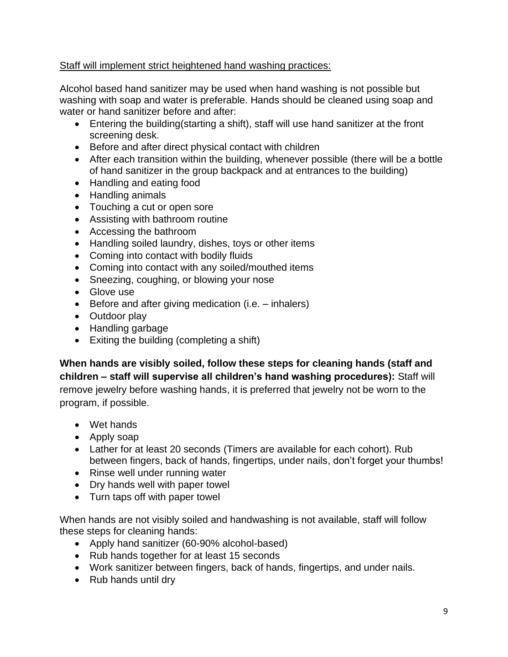## Staff will implement strict heightened hand washing practices:

Alcohol based hand sanitizer may be used when hand washing is not possible but washing with soap and water is preferable. Hands should be cleaned using soap and water or hand sanitizer before and after:

- Entering the building(starting a shift), staff will use hand sanitizer at the front screening desk.
- Before and after direct physical contact with children
- After each transition within the building, whenever possible (there will be a bottle of hand sanitizer in the group backpack and at entrances to the building)
- Handling and eating food
- Handling animals
- Touching a cut or open sore
- Assisting with bathroom routine
- Accessing the bathroom
- Handling soiled laundry, dishes, toys or other items
- Coming into contact with bodily fluids
- Coming into contact with any soiled/mouthed items
- Sneezing, coughing, or blowing your nose
- Glove use
- Before and after giving medication (i.e. inhalers)
- Outdoor play
- Handling garbage
- Exiting the building (completing a shift)

**When hands are visibly soiled, follow these steps for cleaning hands (staff and children – staff will supervise all children's hand washing procedures):** Staff will remove jewelry before washing hands, it is preferred that jewelry not be worn to the program, if possible.

- Wet hands
- Apply soap
- Lather for at least 20 seconds (Timers are available for each cohort). Rub between fingers, back of hands, fingertips, under nails, don't forget your thumbs!
- Rinse well under running water
- Dry hands well with paper towel
- Turn taps off with paper towel

When hands are not visibly soiled and handwashing is not available, staff will follow these steps for cleaning hands:

- Apply hand sanitizer (60-90% alcohol-based)
- Rub hands together for at least 15 seconds
- Work sanitizer between fingers, back of hands, fingertips, and under nails.
- Rub hands until dry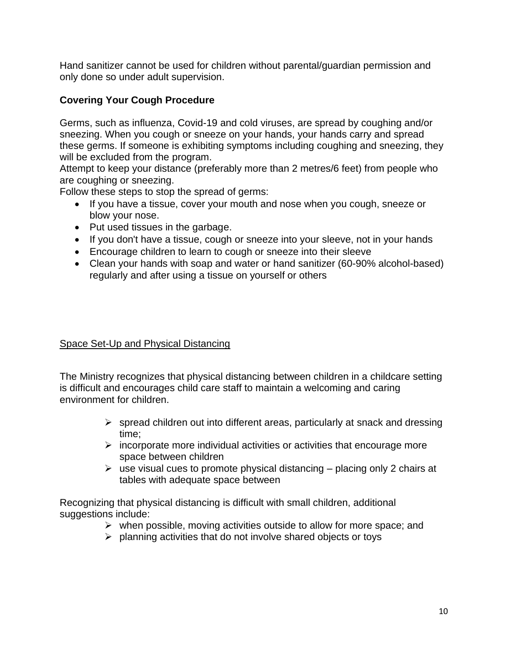Hand sanitizer cannot be used for children without parental/guardian permission and only done so under adult supervision.

## **Covering Your Cough Procedure**

Germs, such as influenza, Covid-19 and cold viruses, are spread by coughing and/or sneezing. When you cough or sneeze on your hands, your hands carry and spread these germs. If someone is exhibiting symptoms including coughing and sneezing, they will be excluded from the program.

Attempt to keep your distance (preferably more than 2 metres/6 feet) from people who are coughing or sneezing.

Follow these steps to stop the spread of germs:

- If you have a tissue, cover your mouth and nose when you cough, sneeze or blow your nose.
- Put used tissues in the garbage.
- If you don't have a tissue, cough or sneeze into your sleeve, not in your hands
- Encourage children to learn to cough or sneeze into their sleeve
- Clean your hands with soap and water or hand sanitizer (60-90% alcohol-based) regularly and after using a tissue on yourself or others

## Space Set-Up and Physical Distancing

The Ministry recognizes that physical distancing between children in a childcare setting is difficult and encourages child care staff to maintain a welcoming and caring environment for children.

- $\triangleright$  spread children out into different areas, particularly at snack and dressing time;
- $\triangleright$  incorporate more individual activities or activities that encourage more space between children
- $\triangleright$  use visual cues to promote physical distancing placing only 2 chairs at tables with adequate space between

Recognizing that physical distancing is difficult with small children, additional suggestions include:

- ➢ when possible, moving activities outside to allow for more space; and
- ➢ planning activities that do not involve shared objects or toys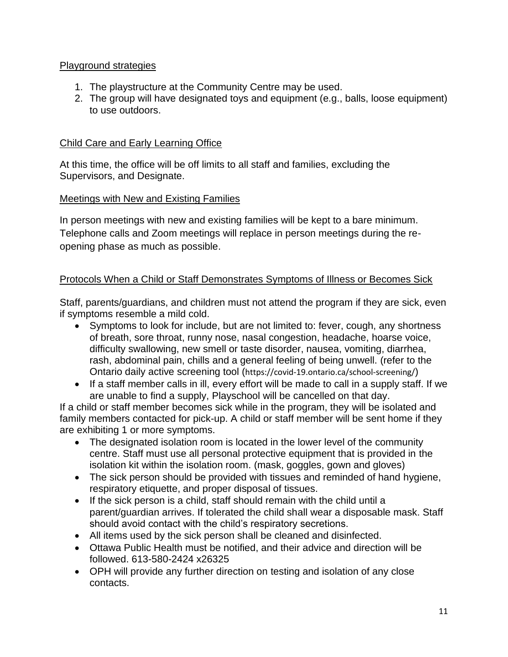## Playground strategies

- 1. The playstructure at the Community Centre may be used.
- 2. The group will have designated toys and equipment (e.g., balls, loose equipment) to use outdoors.

## Child Care and Early Learning Office

At this time, the office will be off limits to all staff and families, excluding the Supervisors, and Designate.

## Meetings with New and Existing Families

In person meetings with new and existing families will be kept to a bare minimum. Telephone calls and Zoom meetings will replace in person meetings during the reopening phase as much as possible.

# Protocols When a Child or Staff Demonstrates Symptoms of Illness or Becomes Sick

Staff, parents/guardians, and children must not attend the program if they are sick, even if symptoms resemble a mild cold.

- Symptoms to look for include, but are not limited to: fever, cough, any shortness of breath, sore throat, runny nose, nasal congestion, headache, hoarse voice, difficulty swallowing, new smell or taste disorder, nausea, vomiting, diarrhea, rash, abdominal pain, chills and a general feeling of being unwell. (refer to the Ontario daily active screening tool (https://covid-19.ontario.ca/school-screening/)
- If a staff member calls in ill, every effort will be made to call in a supply staff. If we are unable to find a supply, Playschool will be cancelled on that day.

If a child or staff member becomes sick while in the program, they will be isolated and family members contacted for pick-up. A child or staff member will be sent home if they are exhibiting 1 or more symptoms.

- The designated isolation room is located in the lower level of the community centre. Staff must use all personal protective equipment that is provided in the isolation kit within the isolation room. (mask, goggles, gown and gloves)
- The sick person should be provided with tissues and reminded of hand hygiene, respiratory etiquette, and proper disposal of tissues.
- If the sick person is a child, staff should remain with the child until a parent/guardian arrives. If tolerated the child shall wear a disposable mask. Staff should avoid contact with the child's respiratory secretions.
- All items used by the sick person shall be cleaned and disinfected.
- Ottawa Public Health must be notified, and their advice and direction will be followed. 613-580-2424 x26325
- OPH will provide any further direction on testing and isolation of any close contacts.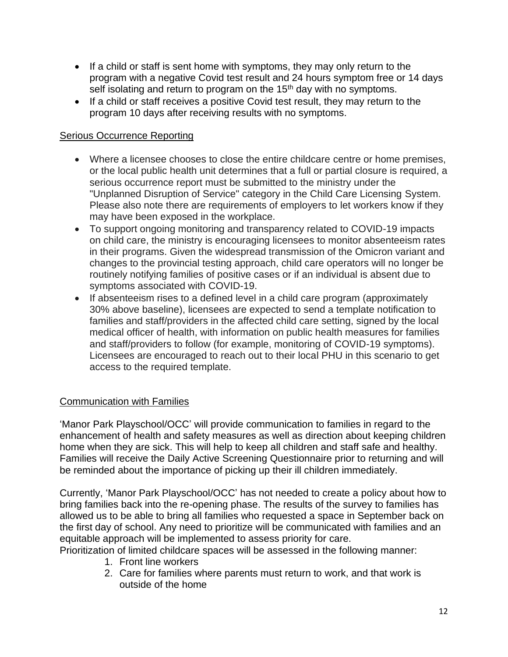- If a child or staff is sent home with symptoms, they may only return to the program with a negative Covid test result and 24 hours symptom free or 14 days self isolating and return to program on the 15<sup>th</sup> day with no symptoms.
- If a child or staff receives a positive Covid test result, they may return to the program 10 days after receiving results with no symptoms.

## Serious Occurrence Reporting

- Where a licensee chooses to close the entire childcare centre or home premises, or the local public health unit determines that a full or partial closure is required, a serious occurrence report must be submitted to the ministry under the "Unplanned Disruption of Service" category in the Child Care Licensing System. Please also note there are requirements of employers to let workers know if they may have been exposed in the workplace.
- To support ongoing monitoring and transparency related to COVID-19 impacts on child care, the ministry is encouraging licensees to monitor absenteeism rates in their programs. Given the widespread transmission of the Omicron variant and changes to the provincial testing approach, child care operators will no longer be routinely notifying families of positive cases or if an individual is absent due to symptoms associated with COVID-19.
- If absenteeism rises to a defined level in a child care program (approximately 30% above baseline), licensees are expected to send a template notification to families and staff/providers in the affected child care setting, signed by the local medical officer of health, with information on public health measures for families and staff/providers to follow (for example, monitoring of COVID-19 symptoms). Licensees are encouraged to reach out to their local PHU in this scenario to get access to the required template.

## Communication with Families

'Manor Park Playschool/OCC' will provide communication to families in regard to the enhancement of health and safety measures as well as direction about keeping children home when they are sick. This will help to keep all children and staff safe and healthy. Families will receive the Daily Active Screening Questionnaire prior to returning and will be reminded about the importance of picking up their ill children immediately.

Currently, 'Manor Park Playschool/OCC' has not needed to create a policy about how to bring families back into the re-opening phase. The results of the survey to families has allowed us to be able to bring all families who requested a space in September back on the first day of school. Any need to prioritize will be communicated with families and an equitable approach will be implemented to assess priority for care.

Prioritization of limited childcare spaces will be assessed in the following manner:

- 1. Front line workers
- 2. Care for families where parents must return to work, and that work is outside of the home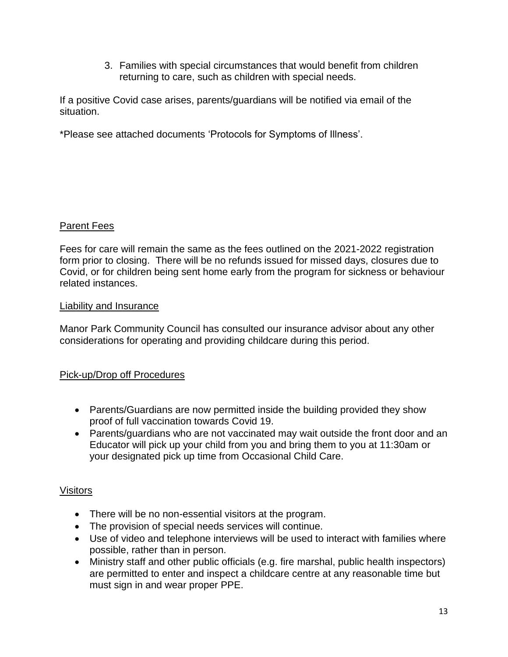3. Families with special circumstances that would benefit from children returning to care, such as children with special needs.

If a positive Covid case arises, parents/guardians will be notified via email of the situation.

\*Please see attached documents 'Protocols for Symptoms of Illness'.

## Parent Fees

Fees for care will remain the same as the fees outlined on the 2021-2022 registration form prior to closing. There will be no refunds issued for missed days, closures due to Covid, or for children being sent home early from the program for sickness or behaviour related instances.

## Liability and Insurance

Manor Park Community Council has consulted our insurance advisor about any other considerations for operating and providing childcare during this period.

## Pick-up/Drop off Procedures

- Parents/Guardians are now permitted inside the building provided they show proof of full vaccination towards Covid 19.
- Parents/guardians who are not vaccinated may wait outside the front door and an Educator will pick up your child from you and bring them to you at 11:30am or your designated pick up time from Occasional Child Care.

## Visitors

- There will be no non-essential visitors at the program.
- The provision of special needs services will continue.
- Use of video and telephone interviews will be used to interact with families where possible, rather than in person.
- Ministry staff and other public officials (e.g. fire marshal, public health inspectors) are permitted to enter and inspect a childcare centre at any reasonable time but must sign in and wear proper PPE.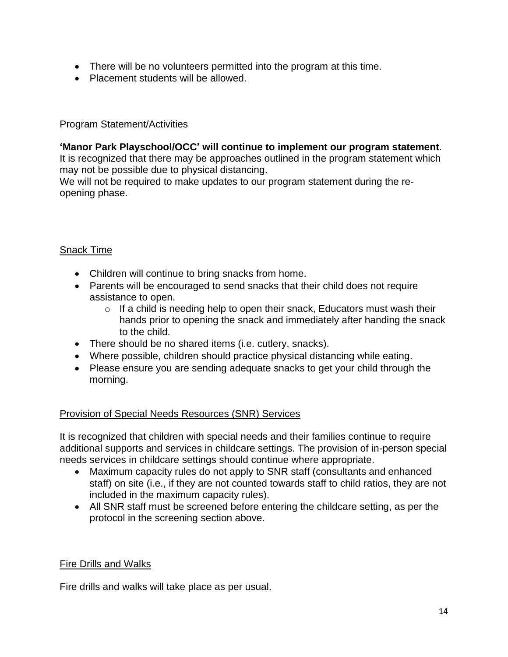- There will be no volunteers permitted into the program at this time.
- Placement students will be allowed.

#### Program Statement/Activities

#### **'Manor Park Playschool/OCC' will continue to implement our program statement**.

It is recognized that there may be approaches outlined in the program statement which may not be possible due to physical distancing.

We will not be required to make updates to our program statement during the reopening phase.

## Snack Time

- Children will continue to bring snacks from home.
- Parents will be encouraged to send snacks that their child does not require assistance to open.
	- $\circ$  If a child is needing help to open their snack, Educators must wash their hands prior to opening the snack and immediately after handing the snack to the child.
- There should be no shared items (i.e. cutlery, snacks).
- Where possible, children should practice physical distancing while eating.
- Please ensure you are sending adequate snacks to get your child through the morning.

## Provision of Special Needs Resources (SNR) Services

It is recognized that children with special needs and their families continue to require additional supports and services in childcare settings. The provision of in-person special needs services in childcare settings should continue where appropriate.

- Maximum capacity rules do not apply to SNR staff (consultants and enhanced staff) on site (i.e., if they are not counted towards staff to child ratios, they are not included in the maximum capacity rules).
- All SNR staff must be screened before entering the childcare setting, as per the protocol in the screening section above.

## Fire Drills and Walks

Fire drills and walks will take place as per usual.